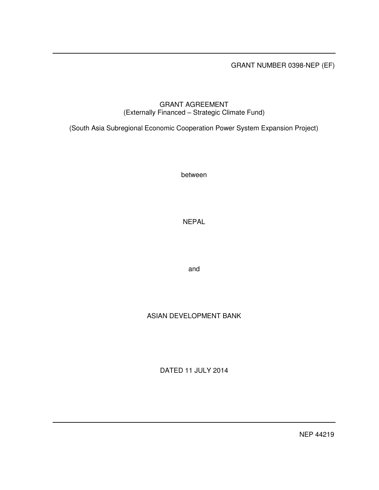GRANT NUMBER 0398-NEP (EF)

## GRANT AGREEMENT (Externally Financed – Strategic Climate Fund)

(South Asia Subregional Economic Cooperation Power System Expansion Project)

between

NEPAL

and

# ASIAN DEVELOPMENT BANK

DATED 11 JULY 2014

NEP 44219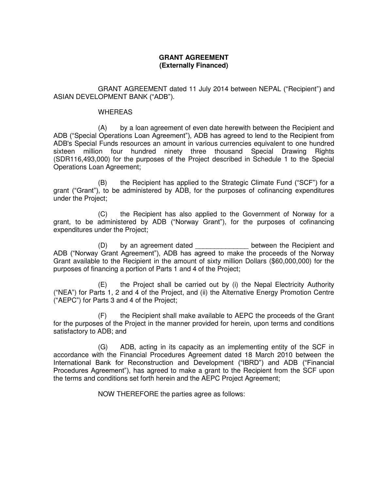## **GRANT AGREEMENT (Externally Financed)**

GRANT AGREEMENT dated 11 July 2014 between NEPAL ("Recipient") and ASIAN DEVELOPMENT BANK ("ADB").

## WHEREAS

(A) by a loan agreement of even date herewith between the Recipient and ADB ("Special Operations Loan Agreement"), ADB has agreed to lend to the Recipient from ADB's Special Funds resources an amount in various currencies equivalent to one hundred sixteen million four hundred ninety three thousand Special Drawing Rights (SDR116,493,000) for the purposes of the Project described in Schedule 1 to the Special Operations Loan Agreement;

(B) the Recipient has applied to the Strategic Climate Fund ("SCF") for a grant ("Grant"), to be administered by ADB, for the purposes of cofinancing expenditures under the Project;

(C) the Recipient has also applied to the Government of Norway for a grant, to be administered by ADB ("Norway Grant"), for the purposes of cofinancing expenditures under the Project;

(D) by an agreement dated between the Recipient and ADB ("Norway Grant Agreement"), ADB has agreed to make the proceeds of the Norway Grant available to the Recipient in the amount of sixty million Dollars (\$60,000,000) for the purposes of financing a portion of Parts 1 and 4 of the Project;

 (E) the Project shall be carried out by (i) the Nepal Electricity Authority ("NEA") for Parts 1, 2 and 4 of the Project, and (ii) the Alternative Energy Promotion Centre ("AEPC") for Parts 3 and 4 of the Project;

 (F) the Recipient shall make available to AEPC the proceeds of the Grant for the purposes of the Project in the manner provided for herein, upon terms and conditions satisfactory to ADB; and

 (G) ADB, acting in its capacity as an implementing entity of the SCF in accordance with the Financial Procedures Agreement dated 18 March 2010 between the International Bank for Reconstruction and Development ("IBRD") and ADB ("Financial Procedures Agreement"), has agreed to make a grant to the Recipient from the SCF upon the terms and conditions set forth herein and the AEPC Project Agreement;

NOW THEREFORE the parties agree as follows: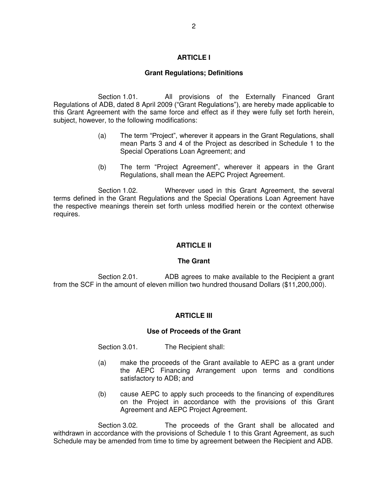## **ARTICLE I**

## **Grant Regulations; Definitions**

Section 1.01. All provisions of the Externally Financed Grant Regulations of ADB, dated 8 April 2009 ("Grant Regulations"), are hereby made applicable to this Grant Agreement with the same force and effect as if they were fully set forth herein, subject, however, to the following modifications:

- (a) The term "Project", wherever it appears in the Grant Regulations, shall mean Parts 3 and 4 of the Project as described in Schedule 1 to the Special Operations Loan Agreement; and
- (b) The term "Project Agreement", wherever it appears in the Grant Regulations, shall mean the AEPC Project Agreement.

Section 1.02. Wherever used in this Grant Agreement, the several terms defined in the Grant Regulations and the Special Operations Loan Agreement have the respective meanings therein set forth unless modified herein or the context otherwise requires.

## **ARTICLE II**

#### **The Grant**

Section 2.01. ADB agrees to make available to the Recipient a grant from the SCF in the amount of eleven million two hundred thousand Dollars (\$11,200,000).

#### **ARTICLE III**

#### **Use of Proceeds of the Grant**

Section 3.01. The Recipient shall:

- (a) make the proceeds of the Grant available to AEPC as a grant under the AEPC Financing Arrangement upon terms and conditions satisfactory to ADB; and
- (b) cause AEPC to apply such proceeds to the financing of expenditures on the Project in accordance with the provisions of this Grant Agreement and AEPC Project Agreement.

Section 3.02. The proceeds of the Grant shall be allocated and withdrawn in accordance with the provisions of Schedule 1 to this Grant Agreement, as such Schedule may be amended from time to time by agreement between the Recipient and ADB.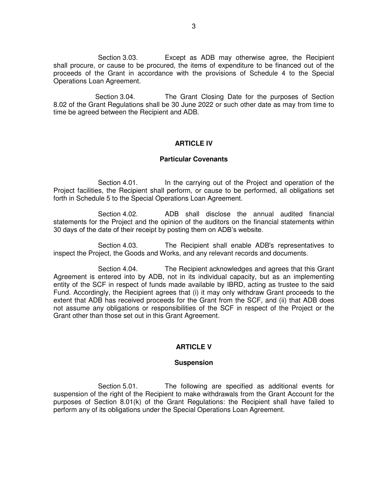Section 3.03. Except as ADB may otherwise agree, the Recipient shall procure, or cause to be procured, the items of expenditure to be financed out of the proceeds of the Grant in accordance with the provisions of Schedule 4 to the Special Operations Loan Agreement.

Section 3.04. The Grant Closing Date for the purposes of Section 8.02 of the Grant Regulations shall be 30 June 2022 or such other date as may from time to time be agreed between the Recipient and ADB.

### **ARTICLE IV**

#### **Particular Covenants**

Section 4.01. In the carrying out of the Project and operation of the Project facilities, the Recipient shall perform, or cause to be performed, all obligations set forth in Schedule 5 to the Special Operations Loan Agreement.

 Section 4.02. ADB shall disclose the annual audited financial statements for the Project and the opinion of the auditors on the financial statements within 30 days of the date of their receipt by posting them on ADB's website.

Section 4.03. The Recipient shall enable ADB's representatives to inspect the Project, the Goods and Works, and any relevant records and documents.

Section 4.04. The Recipient acknowledges and agrees that this Grant Agreement is entered into by ADB, not in its individual capacity, but as an implementing entity of the SCF in respect of funds made available by IBRD, acting as trustee to the said Fund. Accordingly, the Recipient agrees that (i) it may only withdraw Grant proceeds to the extent that ADB has received proceeds for the Grant from the SCF, and (ii) that ADB does not assume any obligations or responsibilities of the SCF in respect of the Project or the Grant other than those set out in this Grant Agreement.

## **ARTICLE V**

#### **Suspension**

Section 5.01. The following are specified as additional events for suspension of the right of the Recipient to make withdrawals from the Grant Account for the purposes of Section 8.01(k) of the Grant Regulations: the Recipient shall have failed to perform any of its obligations under the Special Operations Loan Agreement.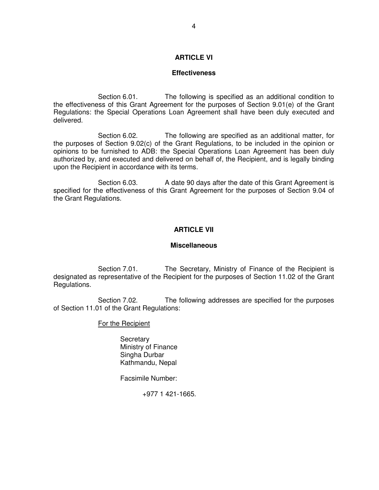### **ARTICLE VI**

#### **Effectiveness**

Section 6.01. The following is specified as an additional condition to the effectiveness of this Grant Agreement for the purposes of Section 9.01(e) of the Grant Regulations: the Special Operations Loan Agreement shall have been duly executed and delivered.

Section 6.02. The following are specified as an additional matter, for the purposes of Section 9.02(c) of the Grant Regulations, to be included in the opinion or opinions to be furnished to ADB: the Special Operations Loan Agreement has been duly authorized by, and executed and delivered on behalf of, the Recipient, and is legally binding upon the Recipient in accordance with its terms.

 Section 6.03. A date 90 days after the date of this Grant Agreement is specified for the effectiveness of this Grant Agreement for the purposes of Section 9.04 of the Grant Regulations.

#### **ARTICLE VII**

#### **Miscellaneous**

Section 7.01. The Secretary, Ministry of Finance of the Recipient is designated as representative of the Recipient for the purposes of Section 11.02 of the Grant Regulations.

Section 7.02. The following addresses are specified for the purposes of Section 11.01 of the Grant Regulations:

### For the Recipient

**Secretary**  Ministry of Finance Singha Durbar Kathmandu, Nepal

Facsimile Number:

+977 1 421-1665.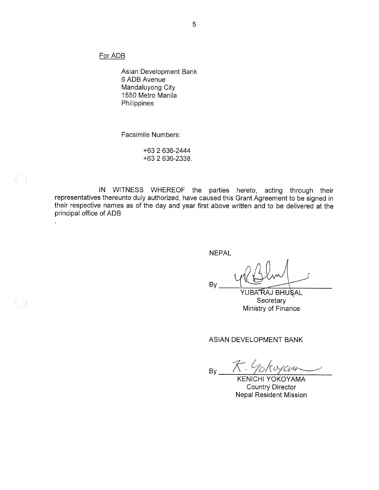For ADB

 $(\quad)$ 

 $(\quad)$ 

 $\ddot{\phantom{0}}$ 

Asian Development Bank 6 ADB Avenue Mandaluyong City 1550 Metro Manila Philippines

Facsimile Numbers:

+63 2 636-2444 +63 2 636-2338.

IN WITNESS WHEREOF the parties hereto, acting through their representatives thereunto duly authorized, have caused this Grant Agreement to be signed in their respective names as of the day and year first above written and to be delivered at the principal office of ADB

**NEPAL** 

By

YUBA"RAJ BHU`SAL Secretary Ministry of Finance

ASIAN DEVELOPMENT BANK

 $By \n\begin{array}{c}\n\overbrace{\mathcal{K}}.\n\end{array} \n\begin{array}{c}\n\sqrt{\frac{1}{2}}\sqrt{\frac{1}{2}}\sqrt{\frac{1}{2}}\sqrt{\frac{1}{2}}\sqrt{\frac{1}{2}}\sqrt{\frac{1}{2}}\sqrt{\frac{1}{2}}\sqrt{\frac{1}{2}}\sqrt{\frac{1}{2}}\sqrt{\frac{1}{2}}\sqrt{\frac{1}{2}}\sqrt{\frac{1}{2}}\sqrt{\frac{1}{2}}\sqrt{\frac{1}{2}}\sqrt{\frac{1}{2}}\sqrt{\frac{1}{2}}\sqrt{\frac{1}{2}}\sqrt{\frac{1}{2}}\sqrt{\frac{1}{2}}\sqrt{\frac{1}{2}}\sqrt$ 

**Country Director Nepal Resident Mission**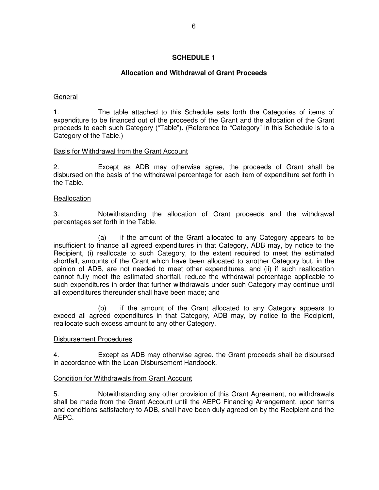## **SCHEDULE 1**

## **Allocation and Withdrawal of Grant Proceeds**

## General

1. The table attached to this Schedule sets forth the Categories of items of expenditure to be financed out of the proceeds of the Grant and the allocation of the Grant proceeds to each such Category ("Table"). (Reference to "Category" in this Schedule is to a Category of the Table.)

## Basis for Withdrawal from the Grant Account

2. Except as ADB may otherwise agree, the proceeds of Grant shall be disbursed on the basis of the withdrawal percentage for each item of expenditure set forth in the Table.

## **Reallocation**

3. Notwithstanding the allocation of Grant proceeds and the withdrawal percentages set forth in the Table,

 (a) if the amount of the Grant allocated to any Category appears to be insufficient to finance all agreed expenditures in that Category, ADB may, by notice to the Recipient, (i) reallocate to such Category, to the extent required to meet the estimated shortfall, amounts of the Grant which have been allocated to another Category but, in the opinion of ADB, are not needed to meet other expenditures, and (ii) if such reallocation cannot fully meet the estimated shortfall, reduce the withdrawal percentage applicable to such expenditures in order that further withdrawals under such Category may continue until all expenditures thereunder shall have been made; and

 (b) if the amount of the Grant allocated to any Category appears to exceed all agreed expenditures in that Category, ADB may, by notice to the Recipient, reallocate such excess amount to any other Category.

## Disbursement Procedures

4. Except as ADB may otherwise agree, the Grant proceeds shall be disbursed in accordance with the Loan Disbursement Handbook.

## Condition for Withdrawals from Grant Account

5. Notwithstanding any other provision of this Grant Agreement, no withdrawals shall be made from the Grant Account until the AEPC Financing Arrangement, upon terms and conditions satisfactory to ADB, shall have been duly agreed on by the Recipient and the AEPC.